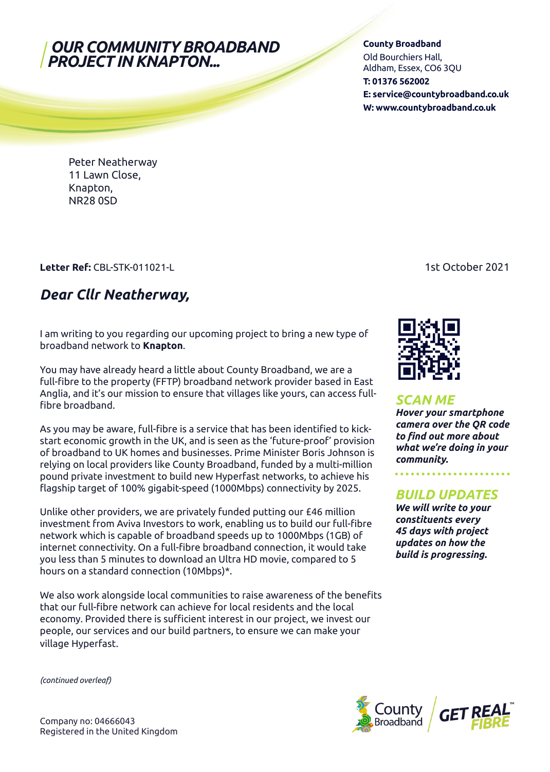### *OUR COMMUNITY BROADBAND PROJECT IN KNAPTON...*

#### **County Broadband**

Old Bourchiers Hall, Aldham, Essex, CO6 3QU **T: 01376 562002 E: service@countybroadband.co.uk W: www.countybroadband.co.uk**

Peter Neatherway 11 Lawn Close, Knapton, NR28 0SD

### **Letter Ref: CBL-STK-011021-L** 1st October 2021

# *Dear Cllr Neatherway,*

I am writing to you regarding our upcoming project to bring a new type of broadband network to **Knapton**.

You may have already heard a little about County Broadband, we are a full-fibre to the property (FFTP) broadband network provider based in East Anglia, and it's our mission to ensure that villages like yours, can access fullfibre broadband.

As you may be aware, full-fibre is a service that has been identified to kickstart economic growth in the UK, and is seen as the 'future-proof' provision of broadband to UK homes and businesses. Prime Minister Boris Johnson is relying on local providers like County Broadband, funded by a multi-million pound private investment to build new Hyperfast networks, to achieve his flagship target of 100% gigabit-speed (1000Mbps) connectivity by 2025.

Unlike other providers, we are privately funded putting our £46 million investment from Aviva Investors to work, enabling us to build our full-fibre network which is capable of broadband speeds up to 1000Mbps (1GB) of internet connectivity. On a full-fibre broadband connection, it would take you less than 5 minutes to download an Ultra HD movie, compared to 5 hours on a standard connection (10Mbps)\*.

We also work alongside local communities to raise awareness of the benefits that our full-fibre network can achieve for local residents and the local economy. Provided there is sufficient interest in our project, we invest our people, our services and our build partners, to ensure we can make your village Hyperfast.



### *SCAN ME*

*Hover your smartphone camera over the QR code to find out more about what we're doing in your community.* 

### *BUILD UPDATES*

*We will write to your constituents every 45 days with project updates on how the build is progressing.*